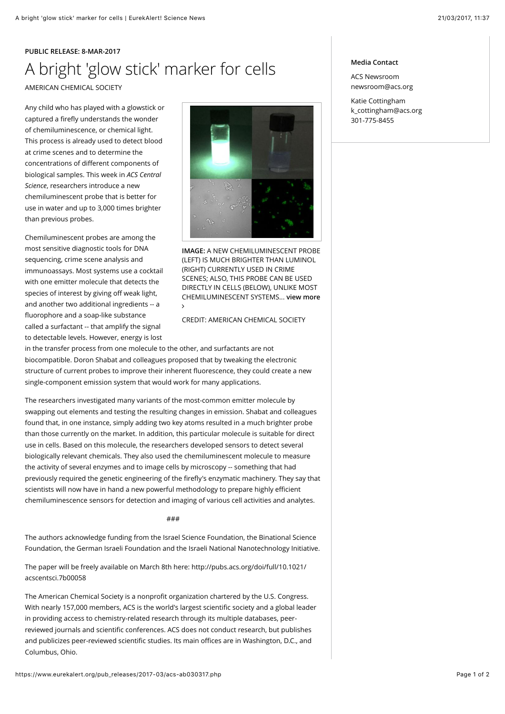## **PUBLIC RELEASE: 8-MAR-2017** A bright 'glow stick' marker for cells AMERICAN CHEMICAL SOCIETY

Any child who has played with a glowstick or captured a firefly understands the wonder of chemiluminescence, or chemical light. This process is already used to detect blood at crime scenes and to determine the concentrations of different components of biological samples. This week in *ACS Central Science*, researchers introduce a new chemiluminescent probe that is better for use in water and up to 3,000 times brighter than previous probes.

Chemiluminescent probes are among the most sensitive diagnostic tools for DNA sequencing, crime scene analysis and immunoassays. Most systems use a cocktail with one emitter molecule that detects the species of interest by giving off weak light, and another two additional ingredients -- a fluorophore and a soap-like substance called a surfactant -- that amplify the signal to detectable levels. However, energy is lost



**IMAGE:** A NEW CHEMILUMINESCENT PROBE (LEFT) IS MUCH BRIGHTER THAN LUMINOL (RIGHT) CURRENTLY USED IN CRIME SCENES; ALSO, THIS PROBE CAN BE USED DIRECTLY IN CELLS (BELOW), UNLIKE MOST [CHEMILUMINESCENT SYSTEMS...](https://www.eurekalert.org/multimedia/pub/134660.php) **view more** ∠

## CREDIT: AMERICAN CHEMICAL SOCIETY

in the transfer process from one molecule to the other, and surfactants are not biocompatible. Doron Shabat and colleagues proposed that by tweaking the electronic structure of current probes to improve their inherent fluorescence, they could create a new single-component emission system that would work for many applications.

The researchers investigated many variants of the most-common emitter molecule by swapping out elements and testing the resulting changes in emission. Shabat and colleagues found that, in one instance, simply adding two key atoms resulted in a much brighter probe than those currently on the market. In addition, this particular molecule is suitable for direct use in cells. Based on this molecule, the researchers developed sensors to detect several biologically relevant chemicals. They also used the chemiluminescent molecule to measure the activity of several enzymes and to image cells by microscopy -- something that had previously required the genetic engineering of the firefly's enzymatic machinery. They say that scientists will now have in hand a new powerful methodology to prepare highly efficient chemiluminescence sensors for detection and imaging of various cell activities and analytes.

###

The authors acknowledge funding from the [Israel Science Foundation,](https://www.isf.org.il/#) the Binational Science [Foundation, the German Israeli Foundation and the Israeli National Nanotechnology Initiativ](http://www.bsf.org.il/)[e.](http://www.nanoisrael.org/)

[The paper will be freely available on March 8th here: http://pubs.acs.org/doi/full/10.1021/](http://pubs.acs.org/doi/full/10.1021/acscentsci.7b00058) acscentsci.7b00058

The American Chemical Society is a nonprofit organization chartered by the U.S. Congress. With nearly 157,000 members, ACS is the world's largest scientific society and a global leader in providing access to chemistry-related research through its multiple databases, peerreviewed journals and scientific conferences. ACS does not conduct research, but publishes and publicizes peer-reviewed scientific studies. Its main offices are in Washington, D.C., and Columbus, Ohio.

## **Media Contact**

ACS Newsroom [newsroom@acs.org](mailto:newsroom@acs.org)

Katie Cottingham [k\\_cottingham@acs.org](mailto:k_cottingham@acs.org) 301-775-8455